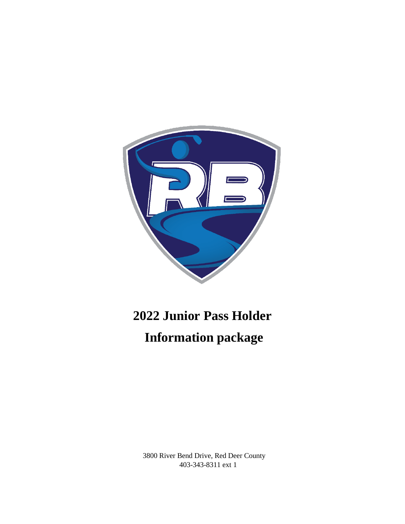

# **2022 Junior Pass Holder Information package**

3800 River Bend Drive, Red Deer County 403-343-8311 ext 1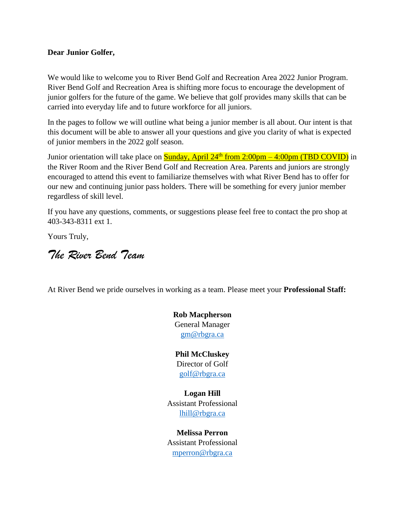#### **Dear Junior Golfer,**

We would like to welcome you to River Bend Golf and Recreation Area 2022 Junior Program. River Bend Golf and Recreation Area is shifting more focus to encourage the development of junior golfers for the future of the game. We believe that golf provides many skills that can be carried into everyday life and to future workforce for all juniors.

In the pages to follow we will outline what being a junior member is all about. Our intent is that this document will be able to answer all your questions and give you clarity of what is expected of junior members in the 2022 golf season.

Junior orientation will take place on **Sunday, April 24<sup>th</sup> from 2:00pm – 4:00pm (TBD COVID)** in the River Room and the River Bend Golf and Recreation Area. Parents and juniors are strongly encouraged to attend this event to familiarize themselves with what River Bend has to offer for our new and continuing junior pass holders. There will be something for every junior member regardless of skill level.

If you have any questions, comments, or suggestions please feel free to contact the pro shop at 403-343-8311 ext 1.

Yours Truly,

*The River Bend Team*

At River Bend we pride ourselves in working as a team. Please meet your **Professional Staff:**

**Rob Macpherson** General Manager [gm@rbgra.ca](mailto:gm@rbgra.ca)

**Phil McCluskey** Director of Golf [golf@rbgra.ca](mailto:golf@rbgra.ca)

**Logan Hill** Assistant Professional [lhill@rbgra.ca](mailto:lhill@rbgra.ca)

**Melissa Perron** Assistant Professional [mperron@rbgra.ca](mailto:mperron@rbgra.ca)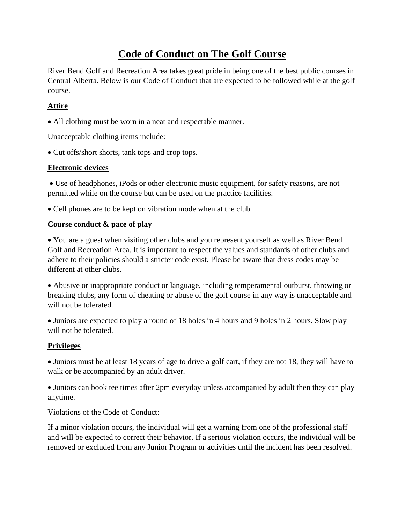### **Code of Conduct on The Golf Course**

River Bend Golf and Recreation Area takes great pride in being one of the best public courses in Central Alberta. Below is our Code of Conduct that are expected to be followed while at the golf course.

#### **Attire**

• All clothing must be worn in a neat and respectable manner.

#### Unacceptable clothing items include:

• Cut offs/short shorts, tank tops and crop tops.

#### **Electronic devices**

• Use of headphones, iPods or other electronic music equipment, for safety reasons, are not permitted while on the course but can be used on the practice facilities.

• Cell phones are to be kept on vibration mode when at the club.

#### **Course conduct & pace of play**

• You are a guest when visiting other clubs and you represent yourself as well as River Bend Golf and Recreation Area. It is important to respect the values and standards of other clubs and adhere to their policies should a stricter code exist. Please be aware that dress codes may be different at other clubs.

• Abusive or inappropriate conduct or language, including temperamental outburst, throwing or breaking clubs, any form of cheating or abuse of the golf course in any way is unacceptable and will not be tolerated.

• Juniors are expected to play a round of 18 holes in 4 hours and 9 holes in 2 hours. Slow play will not be tolerated.

#### **Privileges**

• Juniors must be at least 18 years of age to drive a golf cart, if they are not 18, they will have to walk or be accompanied by an adult driver.

• Juniors can book tee times after 2pm everyday unless accompanied by adult then they can play anytime.

#### Violations of the Code of Conduct:

If a minor violation occurs, the individual will get a warning from one of the professional staff and will be expected to correct their behavior. If a serious violation occurs, the individual will be removed or excluded from any Junior Program or activities until the incident has been resolved.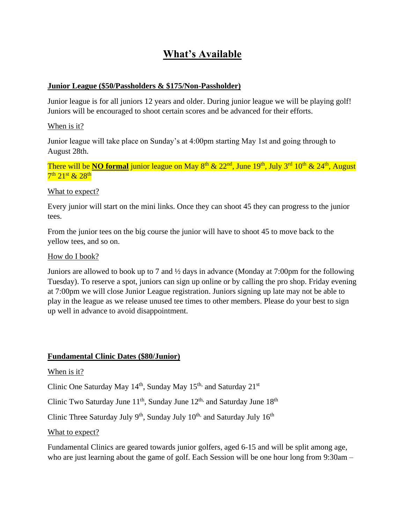### **What's Available**

#### **Junior League (\$50/Passholders & \$175/Non-Passholder)**

Junior league is for all juniors 12 years and older. During junior league we will be playing golf! Juniors will be encouraged to shoot certain scores and be advanced for their efforts.

#### When is it?

Junior league will take place on Sunday's at 4:00pm starting May 1st and going through to August 28th.

There will be **NO formal** junior league on May 8<sup>th</sup> & 22<sup>nd</sup>, June 19<sup>th</sup>, July 3<sup>rd</sup> 10<sup>th</sup> & 24<sup>th</sup>, August  $7^{\rm th}$   $21^{\rm st}$  &  $28^{\rm th}$ 

#### What to expect?

Every junior will start on the mini links. Once they can shoot 45 they can progress to the junior tees.

From the junior tees on the big course the junior will have to shoot 45 to move back to the yellow tees, and so on.

#### How do I book?

Juniors are allowed to book up to 7 and ½ days in advance (Monday at 7:00pm for the following Tuesday). To reserve a spot, juniors can sign up online or by calling the pro shop. Friday evening at 7:00pm we will close Junior League registration. Juniors signing up late may not be able to play in the league as we release unused tee times to other members. Please do your best to sign up well in advance to avoid disappointment.

#### **Fundamental Clinic Dates (\$80/Junior)**

#### When is it?

Clinic One Saturday May  $14<sup>th</sup>$ , Sunday May  $15<sup>th</sup>$ , and Saturday  $21<sup>st</sup>$ 

Clinic Two Saturday June  $11^{th}$ , Sunday June  $12^{th}$ , and Saturday June  $18^{th}$ 

Clinic Three Saturday July 9<sup>th</sup>, Sunday July 10<sup>th,</sup> and Saturday July 16<sup>th</sup>

#### What to expect?

Fundamental Clinics are geared towards junior golfers, aged 6-15 and will be split among age, who are just learning about the game of golf. Each Session will be one hour long from 9:30am –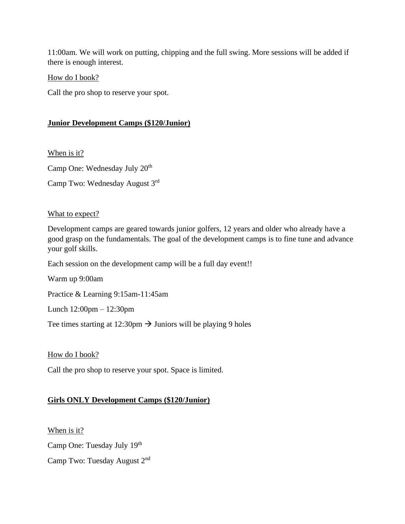11:00am. We will work on putting, chipping and the full swing. More sessions will be added if there is enough interest.

How do I book?

Call the pro shop to reserve your spot.

#### **Junior Development Camps (\$120/Junior)**

When is it?

Camp One: Wednesday July 20<sup>th</sup>

Camp Two: Wednesday August 3rd

#### What to expect?

Development camps are geared towards junior golfers, 12 years and older who already have a good grasp on the fundamentals. The goal of the development camps is to fine tune and advance your golf skills.

Each session on the development camp will be a full day event!!

Warm up 9:00am

Practice & Learning 9:15am-11:45am

Lunch 12:00pm – 12:30pm

Tee times starting at 12:30pm  $\rightarrow$  Juniors will be playing 9 holes

How do I book?

Call the pro shop to reserve your spot. Space is limited.

#### **Girls ONLY Development Camps (\$120/Junior)**

When is it? Camp One: Tuesday July 19th Camp Two: Tuesday August 2<sup>nd</sup>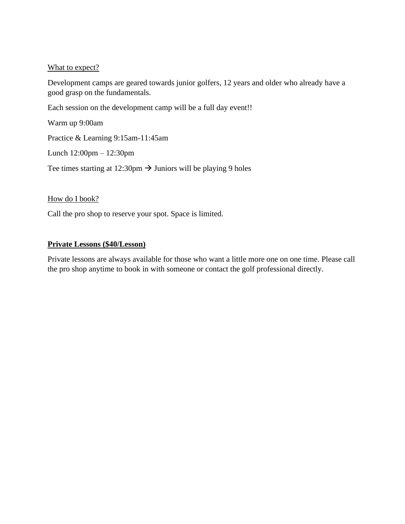#### What to expect?

Development camps are geared towards junior golfers, 12 years and older who already have a good grasp on the fundamentals.

Each session on the development camp will be a full day event!!

Warm up 9:00am

Practice & Learning 9:15am-11:45am

Lunch 12:00pm – 12:30pm

Tee times starting at 12:30pm  $\rightarrow$  Juniors will be playing 9 holes

How do I book?

Call the pro shop to reserve your spot. Space is limited.

#### **Private Lessons (\$40/Lesson)**

Private lessons are always available for those who want a little more one on one time. Please call the pro shop anytime to book in with someone or contact the golf professional directly.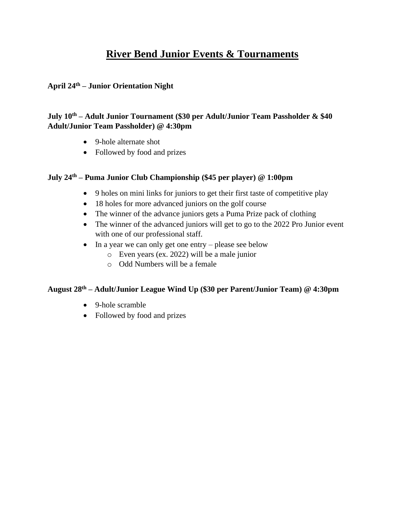### **River Bend Junior Events & Tournaments**

### **April 24th – Junior Orientation Night**

#### **July 10th – Adult Junior Tournament (\$30 per Adult/Junior Team Passholder & \$40 Adult/Junior Team Passholder) @ 4:30pm**

- 9-hole alternate shot
- Followed by food and prizes

### **July 24th – Puma Junior Club Championship (\$45 per player) @ 1:00pm**

- 9 holes on mini links for juniors to get their first taste of competitive play
- 18 holes for more advanced juniors on the golf course
- The winner of the advance juniors gets a Puma Prize pack of clothing
- The winner of the advanced juniors will get to go to the 2022 Pro Junior event with one of our professional staff.
- In a year we can only get one entry please see below
	- o Even years (ex. 2022) will be a male junior
	- o Odd Numbers will be a female

#### **August 28th – Adult/Junior League Wind Up (\$30 per Parent/Junior Team) @ 4:30pm**

- 9-hole scramble
- Followed by food and prizes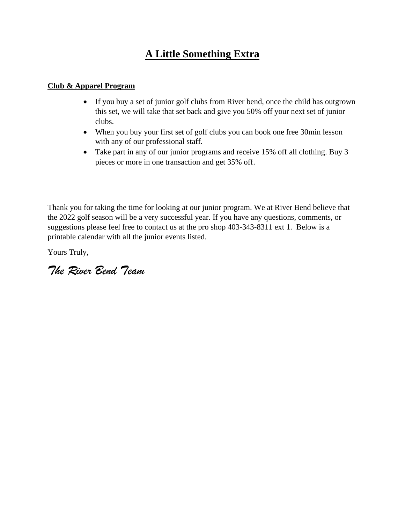## **A Little Something Extra**

#### **Club & Apparel Program**

- If you buy a set of junior golf clubs from River bend, once the child has outgrown this set, we will take that set back and give you 50% off your next set of junior clubs.
- When you buy your first set of golf clubs you can book one free 30min lesson with any of our professional staff.
- Take part in any of our junior programs and receive 15% off all clothing. Buy 3 pieces or more in one transaction and get 35% off.

Thank you for taking the time for looking at our junior program. We at River Bend believe that the 2022 golf season will be a very successful year. If you have any questions, comments, or suggestions please feel free to contact us at the pro shop 403-343-8311 ext 1. Below is a printable calendar with all the junior events listed.

Yours Truly,

*The River Bend Team*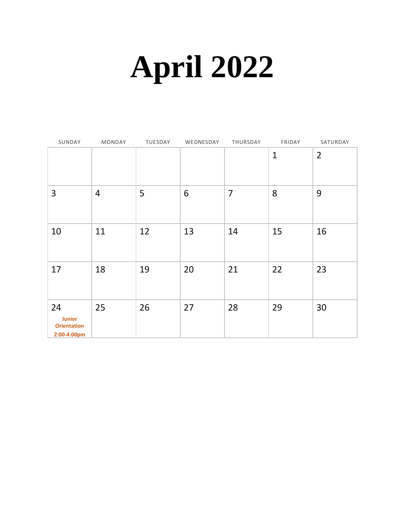# **April 2022**

| SUNDAY                                                   | MONDAY         | TUESDAY | WEDNESDAY | THURSDAY       | FRIDAY       | SATURDAY       |
|----------------------------------------------------------|----------------|---------|-----------|----------------|--------------|----------------|
|                                                          |                |         |           |                | $\mathbf{1}$ | $\overline{2}$ |
| 3                                                        | $\overline{4}$ | 5       | 6         | $\overline{7}$ | 8            | 9              |
| 10                                                       | 11             | 12      | 13        | 14             | 15           | 16             |
| 17                                                       | 18             | 19      | 20        | 21             | 22           | 23             |
| 24<br><b>Junior</b><br><b>Orientation</b><br>2:00-4:00pm | 25             | 26      | 27        | 28             | 29           | 30             |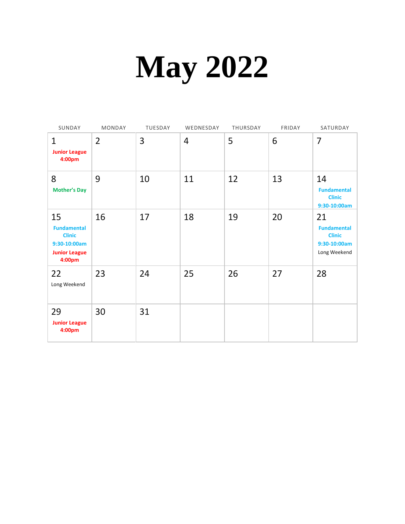# **May 2022**

| SUNDAY                                                                                      | <b>MONDAY</b>  | TUESDAY | WEDNESDAY      | THURSDAY | FRIDAY | SATURDAY                                                                  |
|---------------------------------------------------------------------------------------------|----------------|---------|----------------|----------|--------|---------------------------------------------------------------------------|
| $\mathbf{1}$<br><b>Junior League</b><br>4:00pm                                              | $\overline{2}$ | 3       | $\overline{4}$ | 5        | 6      | $\overline{7}$                                                            |
| 8<br><b>Mother's Day</b>                                                                    | 9              | 10      | 11             | 12       | 13     | 14<br><b>Fundamental</b><br><b>Clinic</b><br>9:30-10:00am                 |
| 15<br><b>Fundamental</b><br><b>Clinic</b><br>9:30-10:00am<br><b>Junior League</b><br>4:00pm | 16             | 17      | 18             | 19       | 20     | 21<br><b>Fundamental</b><br><b>Clinic</b><br>9:30-10:00am<br>Long Weekend |
| 22<br>Long Weekend                                                                          | 23             | 24      | 25             | 26       | 27     | 28                                                                        |
| 29<br><b>Junior League</b><br>4:00pm                                                        | 30             | 31      |                |          |        |                                                                           |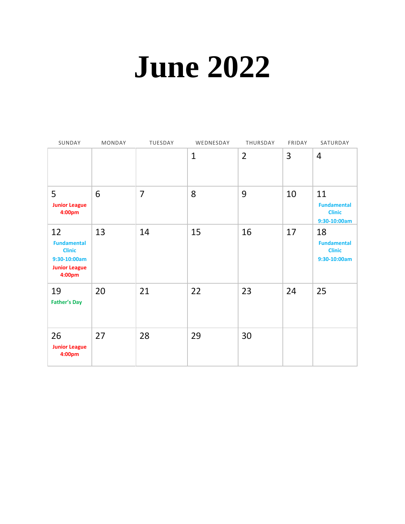# **June 2022**

| SUNDAY                                                                                      | MONDAY | TUESDAY        | WEDNESDAY    | THURSDAY       | FRIDAY | SATURDAY                                                  |
|---------------------------------------------------------------------------------------------|--------|----------------|--------------|----------------|--------|-----------------------------------------------------------|
|                                                                                             |        |                | $\mathbf{1}$ | $\overline{2}$ | 3      | 4                                                         |
| 5<br><b>Junior League</b><br>4:00pm                                                         | 6      | $\overline{7}$ | 8            | 9              | 10     | 11<br><b>Fundamental</b><br><b>Clinic</b><br>9:30-10:00am |
| 12<br><b>Fundamental</b><br><b>Clinic</b><br>9:30-10:00am<br><b>Junior League</b><br>4:00pm | 13     | 14             | 15           | 16             | 17     | 18<br><b>Fundamental</b><br><b>Clinic</b><br>9:30-10:00am |
| 19<br><b>Father's Day</b>                                                                   | 20     | 21             | 22           | 23             | 24     | 25                                                        |
| 26<br><b>Junior League</b><br>4:00pm                                                        | 27     | 28             | 29           | 30             |        |                                                           |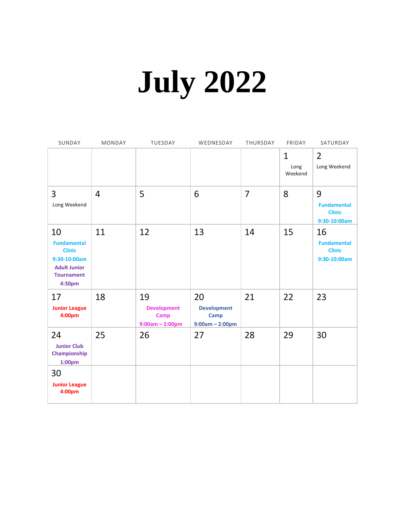# **July 2022**

| SUNDAY                                                                                                          | MONDAY         | TUESDAY                                                      | WEDNESDAY                                             | THURSDAY | FRIDAY                          | SATURDAY                                                  |
|-----------------------------------------------------------------------------------------------------------------|----------------|--------------------------------------------------------------|-------------------------------------------------------|----------|---------------------------------|-----------------------------------------------------------|
|                                                                                                                 |                |                                                              |                                                       |          | $\mathbf{1}$<br>Long<br>Weekend | $\overline{2}$<br>Long Weekend                            |
| 3<br>Long Weekend                                                                                               | $\overline{4}$ | 5                                                            | 6                                                     | 7        | 8                               | 9<br><b>Fundamental</b><br><b>Clinic</b><br>9:30-10:00am  |
| 10<br><b>Fundamental</b><br><b>Clinic</b><br>9:30-10:00am<br><b>Adult Junior</b><br><b>Tournament</b><br>4:30pm | 11             | 12                                                           | 13                                                    | 14       | 15                              | 16<br><b>Fundamental</b><br><b>Clinic</b><br>9:30-10:00am |
| 17<br><b>Junior League</b><br>4:00pm                                                                            | 18             | 19<br><b>Development</b><br><b>Camp</b><br>$9:00am - 2:00pm$ | 20<br><b>Development</b><br>Camp<br>$9:00am - 2:00pm$ | 21       | 22                              | 23                                                        |
| 24<br><b>Junior Club</b><br>Championship<br>1:00 <sub>pm</sub>                                                  | 25             | 26                                                           | 27                                                    | 28       | 29                              | 30                                                        |
| 30<br><b>Junior League</b><br>4:00pm                                                                            |                |                                                              |                                                       |          |                                 |                                                           |